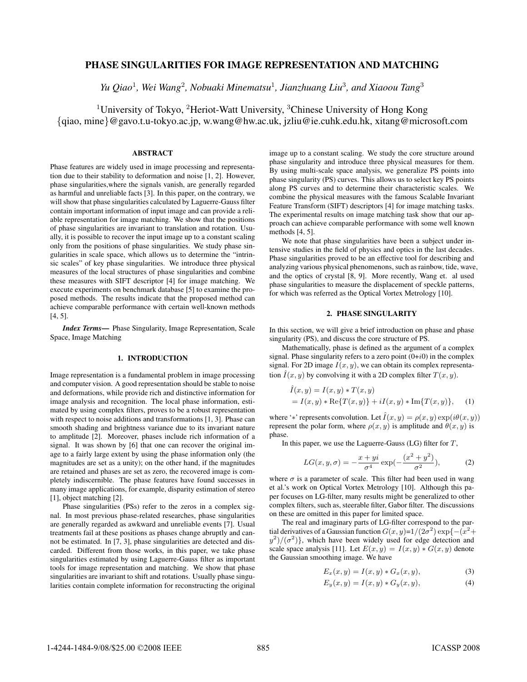# PHASE SINGULARITIES FOR IMAGE REPRESENTATION AND MATCHING

*Yu Qiao*<sup>1</sup>*, Wei Wang*<sup>2</sup>*, Nobuaki Minematsu*<sup>1</sup>*, Jianzhuang Liu*<sup>3</sup>*, and Xiaoou Tang*<sup>3</sup>

<sup>1</sup>University of Tokyo, <sup>2</sup>Heriot-Watt University, <sup>3</sup>Chinese University of Hong Kong {qiao, mine}@gavo.t.u-tokyo.ac.jp, w.wang@hw.ac.uk, jzliu@ie.cuhk.edu.hk, xitang@microsoft.com

## ABSTRACT

Phase features are widely used in image processing and representation due to their stability to deformation and noise [1, 2]. However, phase singularities,where the signals vanish, are generally regarded as harmful and unreliable facts [3]. In this paper, on the contrary, we will show that phase singularities calculated by Laguerre-Gauss filter contain important information of input image and can provide a reliable representation for image matching. We show that the positions of phase singularities are invariant to translation and rotation. Usually, it is possible to recover the input image up to a constant scaling only from the positions of phase singularities. We study phase singularities in scale space, which allows us to determine the "intrinsic scales" of key phase singularities. We introduce three physical measures of the local structures of phase singularities and combine these measures with SIFT descriptor [4] for image matching. We execute experiments on benchmark database [5] to examine the proposed methods. The results indicate that the proposed method can achieve comparable performance with certain well-known methods [4, 5].

*Index Terms*— Phase Singularity, Image Representation, Scale Space, Image Matching

### 1. INTRODUCTION

Image representation is a fundamental problem in image processing and computer vision. A good representation should be stable to noise and deformations, while provide rich and distinctive information for image analysis and recognition. The local phase information, estimated by using complex filters, proves to be a robust representation with respect to noise additions and transformations [1, 3]. Phase can smooth shading and brightness variance due to its invariant nature to amplitude [2]. Moreover, phases include rich information of a signal. It was shown by [6] that one can recover the original image to a fairly large extent by using the phase information only (the magnitudes are set as a unity); on the other hand, if the magnitudes are retained and phases are set as zero, the recovered image is completely indiscernible. The phase features have found successes in many image applications, for example, disparity estimation of stereo [1], object matching [2].

Phase singularities (PSs) refer to the zeros in a complex signal. In most previous phase-related researches, phase singularities are generally regarded as awkward and unreliable events [7]. Usual treatments fail at these positions as phases change abruptly and cannot be estimated. In [7, 3], phase singularities are detected and discarded. Different from those works, in this paper, we take phase singularities estimated by using Laguerre-Gauss filter as important tools for image representation and matching. We show that phase singularities are invariant to shift and rotations. Usually phase singularities contain complete information for reconstructing the original image up to a constant scaling. We study the core structure around phase singularity and introduce three physical measures for them. By using multi-scale space analysis, we generalize PS points into phase singularity (PS) curves. This allows us to select key PS points along PS curves and to determine their characteristic scales. We combine the physical measures with the famous Scalable Invariant Feature Transform (SIFT) descriptors [4] for image matching tasks. The experimental results on image matching task show that our approach can achieve comparable performance with some well known methods [4, 5].

We note that phase singularities have been a subject under intensive studies in the field of physics and optics in the last decades. Phase singularities proved to be an effective tool for describing and analyzing various physical phenomenons, such as rainbow, tide, wave, and the optics of crystal [8, 9]. More recently, Wang et. al used phase singularities to measure the displacement of speckle patterns, for which was referred as the Optical Vortex Metrology [10].

### 2. PHASE SINGULARITY

In this section, we will give a brief introduction on phase and phase singularity (PS), and discuss the core structure of PS.

Mathematically, phase is defined as the argument of a complex signal. Phase singularity refers to a zero point  $(0+i0)$  in the complex signal. For 2D image  $I(x, y)$ , we can obtain its complex representation  $\hat{I}(x, y)$  by convolving it with a 2D complex filter  $T(x, y)$ .

$$
\hat{I}(x, y) = I(x, y) * T(x, y)
$$
  
=  $I(x, y) * \text{Re}\{T(x, y)\} + iI(x, y) * \text{Im}\{T(x, y)\},$  (1)

where '\*' represents convolution. Let  $\hat{I}(x, y) = \rho(x, y) \exp(i\theta(x, y))$ represent the polar form, where  $\rho(x, y)$  is amplitude and  $\theta(x, y)$  is phase.

In this paper, we use the Laguerre-Gauss  $(LG)$  filter for  $T$ ,

$$
LG(x, y, \sigma) = -\frac{x + yi}{\sigma^4} \exp(-\frac{(x^2 + y^2)}{\sigma^2}),
$$
 (2)

where  $\sigma$  is a parameter of scale. This filter had been used in wang et al.'s work on Optical Vortex Metrology [10]. Although this paper focuses on LG-filter, many results might be generalized to other complex filters, such as, steerable filter, Gabor filter. The discussions on these are omitted in this paper for limited space.

The real and imaginary parts of LG-filter correspond to the partial derivatives of a Gaussian function  $G(x, y)=1/(2\sigma^2) \exp\{-(x^2+\sigma^2)\}$  $y^2$ / $(\sigma^2)$ }, which have been widely used for edge detection and scale space analysis [11]. Let  $E(x, y) = I(x, y) * G(x, y)$  denote the Gaussian smoothing image. We have

$$
E_x(x, y) = I(x, y) * G_x(x, y), \qquad (3)
$$

$$
E_y(x, y) = I(x, y) * G_y(x, y), \qquad (4)
$$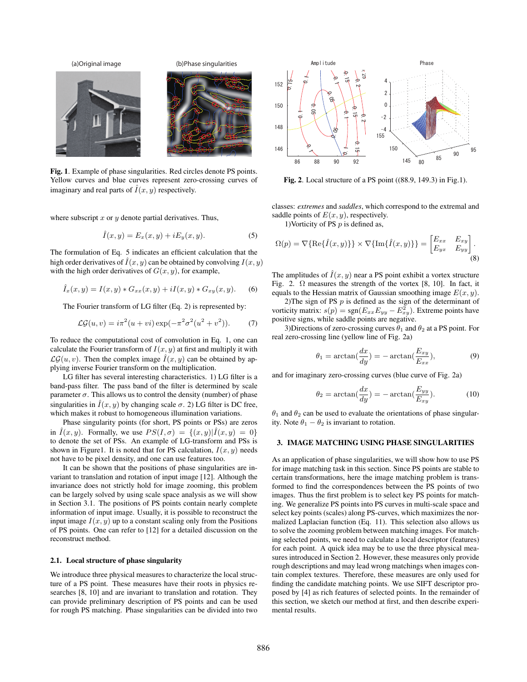

Fig. 1. Example of phase singularities. Red circles denote PS points. Yellow curves and blue curves represent zero-crossing curves of imaginary and real parts of  $\hat{I}(x, y)$  respectively.

where subscript  $x$  or  $y$  denote partial derivatives. Thus,

$$
\hat{I}(x,y) = E_x(x,y) + iE_y(x,y). \tag{5}
$$

The formulation of Eq. 5 indicates an efficient calculation that the high order derivatives of  $\hat{I}(x, y)$  can be obtained by convolving  $I(x, y)$ with the high order derivatives of  $G(x, y)$ , for example,

$$
\hat{I}_x(x,y) = I(x,y) * G_{xx}(x,y) + iI(x,y) * G_{xy}(x,y).
$$
 (6)

The Fourier transform of LG filter (Eq. 2) is represented by:

$$
\mathcal{LG}(u,v) = i\pi^2(u+vi)\exp(-\pi^2\sigma^2(u^2+v^2)).\tag{7}
$$

To reduce the computational cost of convolution in Eq. 1, one can calculate the Fourier transform of  $I(x, y)$  at first and multiply it with  $\mathcal{LG}(u, v)$ . Then the complex image  $\hat{I}(x, y)$  can be obtained by applying inverse Fourier transform on the multiplication.

LG filter has several interesting characteristics. 1) LG filter is a band-pass filter. The pass band of the filter is determined by scale parameter  $\sigma$ . This allows us to control the density (number) of phase singularities in  $\hat{I}(x, y)$  by changing scale  $\sigma$ . 2) LG filter is DC free, which makes it robust to homogeneous illumination variations.

Phase singularity points (for short, PS points or PSs) are zeros in  $\hat{I}(x, y)$ . Formally, we use  $PS(I, \sigma) = \{(x, y) | \hat{I}(x, y) = 0\}$ to denote the set of PSs. An example of LG-transform and PSs is shown in Figure1. It is noted that for PS calculation,  $I(x, y)$  needs not have to be pixel density, and one can use features too.

It can be shown that the positions of phase singularities are invariant to translation and rotation of input image [12]. Although the invariance does not strictly hold for image zooming, this problem can be largely solved by using scale space analysis as we will show in Section 3.1. The positions of PS points contain nearly complete information of input image. Usually, it is possible to reconstruct the input image  $I(x, y)$  up to a constant scaling only from the Positions of PS points. One can refer to [12] for a detailed discussion on the reconstruct method.

#### 2.1. Local structure of phase singularity

We introduce three physical measures to characterize the local structure of a PS point. These measures have their roots in physics researches [8, 10] and are invariant to translation and rotation. They can provide preliminary description of PS points and can be used for rough PS matching. Phase singularities can be divided into two



Fig. 2. Local structure of a PS point ((88.9, 149.3) in Fig.1).

classes: *extremes* and *saddles*, which correspond to the extremal and saddle points of  $E(x, y)$ , respectively.

1) Vorticity of PS  $p$  is defined as,

$$
\Omega(p) = \nabla{\text{Re}\{\hat{I}(x,y)\}\}\times\nabla{\text{Im}\{\hat{I}(x,y)\}\} = \begin{bmatrix} E_{xx} & E_{xy} \\ E_{yx} & E_{yy} \end{bmatrix}.
$$
\n
$$
(8)
$$

The amplitudes of  $\hat{I}(x, y)$  near a PS point exhibit a vortex structure Fig. 2.  $\Omega$  measures the strength of the vortex [8, 10]. In fact, it equals to the Hessian matrix of Gaussian smoothing image  $E(x, y)$ .

2)The sign of PS  $p$  is defined as the sign of the determinant of vorticity matrix:  $s(p) = sgn(E_{xx}E_{yy} - E_{xy}^2)$ . Extreme points have positive signs, while saddle points are negative.

3)Directions of zero-crossing curves  $\theta_1$  and  $\theta_2$  at a PS point. For real zero-crossing line (yellow line of Fig. 2a)

$$
\theta_1 = \arctan(\frac{dx}{dy}) = -\arctan(\frac{E_{xy}}{E_{xx}}),\tag{9}
$$

and for imaginary zero-crossing curves (blue curve of Fig. 2a)

$$
\theta_2 = \arctan(\frac{dx}{dy}) = -\arctan(\frac{E_{yy}}{E_{xy}}). \tag{10}
$$

 $\theta_1$  and  $\theta_2$  can be used to evaluate the orientations of phase singularity. Note  $\theta_1 - \theta_2$  is invariant to rotation.

## 3. IMAGE MATCHING USING PHASE SINGULARITIES

As an application of phase singularities, we will show how to use PS for image matching task in this section. Since PS points are stable to certain transformations, here the image matching problem is transformed to find the correspondences between the PS points of two images. Thus the first problem is to select key PS points for matching. We generalize PS points into PS curves in multi-scale space and select key points (scales) along PS-curves, which maximizes the normalized Laplacian function (Eq. 11). This selection also allows us to solve the zooming problem between matching images. For matching selected points, we need to calculate a local descriptor (features) for each point. A quick idea may be to use the three physical measures introduced in Section 2. However, these measures only provide rough descriptions and may lead wrong matchings when images contain complex textures. Therefore, these measures are only used for finding the candidate matching points. We use SIFT descriptor proposed by [4] as rich features of selected points. In the remainder of this section, we sketch our method at first, and then describe experimental results.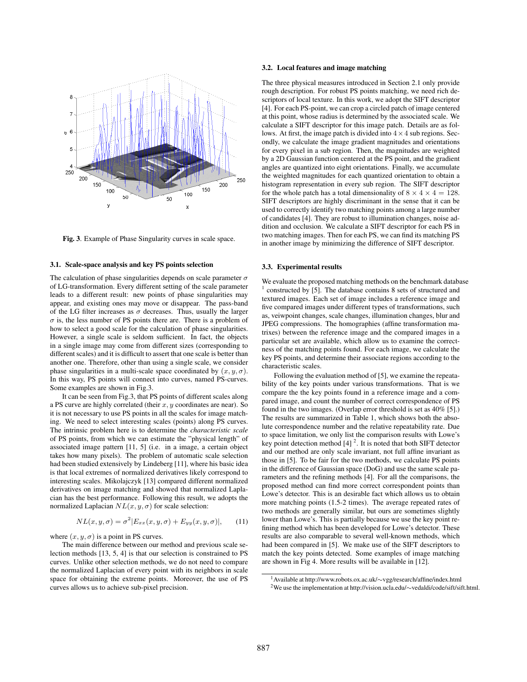

Fig. 3. Example of Phase Singularity curves in scale space.

### 3.1. Scale-space analysis and key PS points selection

The calculation of phase singularities depends on scale parameter  $\sigma$ of LG-transformation. Every different setting of the scale parameter leads to a different result: new points of phase singularities may appear, and existing ones may move or disappear. The pass-band of the LG filter increases as  $\sigma$  decreases. Thus, usually the larger  $\sigma$  is, the less number of PS points there are. There is a problem of how to select a good scale for the calculation of phase singularities. However, a single scale is seldom sufficient. In fact, the objects in a single image may come from different sizes (corresponding to different scales) and it is difficult to assert that one scale is better than another one. Therefore, other than using a single scale, we consider phase singularities in a multi-scale space coordinated by  $(x, y, \sigma)$ . In this way, PS points will connect into curves, named PS-curves. Some examples are shown in Fig.3.

It can be seen from Fig.3, that PS points of different scales along a PS curve are highly correlated (their  $x, y$  coordinates are near). So it is not necessary to use PS points in all the scales for image matching. We need to select interesting scales (points) along PS curves. The intrinsic problem here is to determine the *characteristic scale* of PS points, from which we can estimate the "physical length" of associated image pattern [11, 5] (i.e. in a image, a certain object takes how many pixels). The problem of automatic scale selection had been studied extensively by Lindeberg [11], where his basic idea is that local extremes of normalized derivatives likely correspond to interesting scales. Mikolajczyk [13] compared different normalized derivatives on image matching and showed that normalized Laplacian has the best performance. Following this result, we adopts the normalized Laplacian  $NL(x, y, \sigma)$  for scale selection:

$$
NL(x, y, \sigma) = \sigma^2 |E_{xx}(x, y, \sigma) + E_{yy}(x, y, \sigma)|,
$$
 (11)

where  $(x, y, \sigma)$  is a point in PS curves.

The main difference between our method and previous scale selection methods [13, 5, 4] is that our selection is constrained to PS curves. Unlike other selection methods, we do not need to compare the normalized Laplacian of every point with its neighbors in scale space for obtaining the extreme points. Moreover, the use of PS curves allows us to achieve sub-pixel precision.

#### 3.2. Local features and image matching

The three physical measures introduced in Section 2.1 only provide rough description. For robust PS points matching, we need rich descriptors of local texture. In this work, we adopt the SIFT descriptor [4]. For each PS-point, we can crop a circled patch of image centered at this point, whose radius is determined by the associated scale. We calculate a SIFT descriptor for this image patch. Details are as follows. At first, the image patch is divided into  $4 \times 4$  sub regions. Secondly, we calculate the image gradient magnitudes and orientations for every pixel in a sub region. Then, the magnitudes are weighted by a 2D Gaussian function centered at the PS point, and the gradient angles are quantized into eight orientations. Finally, we accumulate the weighted magnitudes for each quantized orientation to obtain a histogram representation in every sub region. The SIFT descriptor for the whole patch has a total dimensionality of  $8 \times 4 \times 4 = 128$ . SIFT descriptors are highly discriminant in the sense that it can be used to correctly identify two matching points among a large number of candidates [4]. They are robust to illumination changes, noise addition and occlusion. We calculate a SIFT descriptor for each PS in two matching images. Then for each PS, we can find its matching PS in another image by minimizing the difference of SIFT descriptor.

#### 3.3. Experimental results

We evaluate the proposed matching methods on the benchmark database  $1$  constructed by [5]. The database contains 8 sets of structured and textured images. Each set of image includes a reference image and five compared images under different types of transformations, such as, veiwpoint changes, scale changes, illumination changes, blur and JPEG compressions. The homographies (affine transformation matrixes) between the reference image and the compared images in a particular set are available, which allow us to examine the correctness of the matching points found. For each image, we calculate the key PS points, and determine their associate regions according to the characteristic scales.

Following the evaluation method of [5], we examine the repeatability of the key points under various transformations. That is we compare the the key points found in a reference image and a compared image, and count the number of correct correspondence of PS found in the two images. (Overlap error threshold is set as 40% [5].) The results are summarized in Table 1, which shows both the absolute correspondence number and the relative repeatability rate. Due to space limitation, we only list the comparison results with Lowe's key point detection method  $[4]$ <sup>2</sup>. It is noted that both SIFT detector and our method are only scale invariant, not full affine invariant as those in [5]. To be fair for the two methods, we calculate PS points in the difference of Gaussian space (DoG) and use the same scale parameters and the refining methods [4]. For all the comparisons, the proposed method can find more correct correspondent points than Lowe's detector. This is an desirable fact which allows us to obtain more matching points (1.5-2 times). The average repeated rates of two methods are generally similar, but ours are sometimes slightly lower than Lowe's. This is partially because we use the key point refining method which has been developed for Lowe's detector. These results are also comparable to several well-known methods, which had been compared in [5]. We make use of the SIFT descriptors to match the key points detected. Some examples of image matching are shown in Fig 4. More results will be available in [12].

<sup>1</sup>Available at http://www.robots.ox.ac.uk/∼vgg/research/affine/index.html 2We use the implementation at http://vision.ucla.edu/∼vedaldi/code/sift/sift.html.